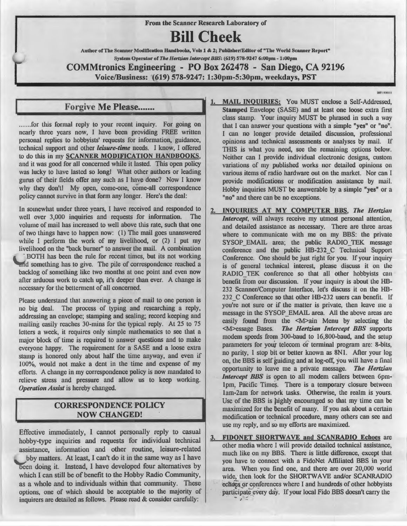From the Scanner Research Laboratory of

# **Bill Cheek**

Author of The Scanner Modification Handbooks, Vols 1 & 2; Publisher/Editor of "The World Scanner Report" System Operator of *The Hertzian Intercept BBS*: (619) 578-9247 6:00pm - 1:00pm

COMMtronics Engineering - PO Box 262478 - San Diego, CA 92196 Voice/Business: (619) 578-9247: 1:30pm-5:30pm, weekdays, PST

**HIP1-020111** 

nearly three years now, I have been providing FREE written personal replies to hobbyists' requests for information, guidance, technical support and other *leisure-time* needs. I know, I offered to do this in my SCANNER MODIFICATION HANDBOOKS, and it was good for all concerned while it lasted. This open policy was lucky to have lasted so long! What other authors or leading gurus of their fields offer any such as I have done? Now I know why they don't! My open, come-one, come-all correspondence policy cannot survive in that form any longer. Here's the deal:

In somewhat under three years, I have received and responded to well over 3,000 inquiries and requests for information. The volume of mail has increased to well above this rate, such that one of two things have to happen now: (1) The mail goes unanswered while I perform the work of my livelihood, or (2) I put my livelihood on the "back burner" to answer the mail. A combination BOTH has been the rule for recent times, but its not working and something has to give. The pile of correspondence reached a backlog of something like two months at one point and even now after arduous work to catch up, it's deeper than ever. A change is necessary for the betterment of all concerned.

Please understand that answering a piece of mail to one person is no big deal. The process of typing and researching a reply, addressing an envelope; stamping and sealing; record keeping and mailing easily reaches 30-mins for the typical reply. At 25 to 75 letters a week, it requires only simple mathematics to see that a major block of time is required to answer questions and to make everyone happy. The requirement for a SASE and a loose extra stamp is honored only about half the time anyway, and even if 100%, would not make a dent in the time and expense of my efforts. A change in my correspondence policy is now mandated to relieve stress and pressure and allow us to keep working. **Operation Assist** is hereby changed.

### CORRESPONDENCE POLICY NOW CHANGED!

Effective immediately, I cannot personally reply to casual hobby-type inquiries and requests for individual technical assistance, information and other routine, leisure-related bby matters. At least, I can't do it in the same way as I have been doing it. Instead, I have developed four alternatives by which I can still be of benefit to the Hobby Radio Community, as a whole and to individuals within that community. These options, one of which should be acceptable to the majority of inquirers are detailed as follows. Please read & consider carefully:

- 1. MAIL INQUIRIES: You MUST enclose a Self-Addressed, Forgive Me Please.......<br>
Stamped Envelope (SASE) and at least one loose extra first<br>
Stamped Envelope (SASE) and at least one loose extra first<br>
class stamp. Your inquiry MUST be phrased in such a way<br>
that I can answer y that I can answer your questions with a simple "yes" or "no". I can no longer provide detailed discussion, professional opinions and technical assessments or analyses by mail. If THIS is what you need, see the remaining options below. Neither can I provide individual electronic designs, custom variations of my published works nor detailed opinions on various items of radio hardware out on the market. Nor can I provide modifications or modification assistance by mail. Hobby inquiries MUST be answerable by a simple "yes" or a "no" and there can be no exceptions.
	- 2. INQUIRIES AT MY COMPUTER BBS, *The Hertzian Intercept*, will always receive my utmost personal attention, and detailed assistance as necessary. There are three areas where to communicate with me on my BBS: the private SYSOP EMAIL area; the public RADIO TEK message conference and the public HB-232\_C Technical Support Conference. One should be just right for you. If your inquiry is of general technical interest, please discuss it on Uie RADIO TEK conference so that all other hobbyists can benefit from our discussion. If your inquiry is about the HB-232 Scanner/Computer Interface, let's discuss it on the HB-232 C Conference so that other HB-232 users can benefit. If you're not sure or if the matter is private, then leave me a message in the SYSOP EMAIL area. All the above areas are easily found from the  $|M\rangle$  ain Menu by selecting the <M>essage Bases. The Hertzian Intercept BBS supports modem speeds from 300-baud to 16,800-baud, and the setup parameters for your telecom *Oi* terminal program are: 8-bits, no parity, I stop bit or better known as 8Nl. After your log on, the BBS is self guiding and at log-off, you will have a final opportunity to leave me a private message. *Tlie Hertzia11 Intercept BBS* is open to all modem callers between 6pmlpm, Pacific Times. There is a temporary closure between lam-2am for network tasks. Otherwise, the realm is yours. Use of the BBS is highly encouraged so that my time can be maximized for the benefit of many. If you ask about a certain modification or technical procedure, many others can see and use my reply, and so my efforts are maximized.
	- 3. FIDONET SHORTWAVE and SCANRADIO Echoes are other media where I will provide detailed technical assistance, much like on my BBS. There is little difference, except that you have to connect with a FidoNet Affiliated BBS in your area. When you find one, and there are over 20,000 world wide, then look for the SHORTWAVE and/or SCANRADIO echoes or conferences where I and hundreds of other hobbyists participate every day. If your local Fido BBS doesn't carry the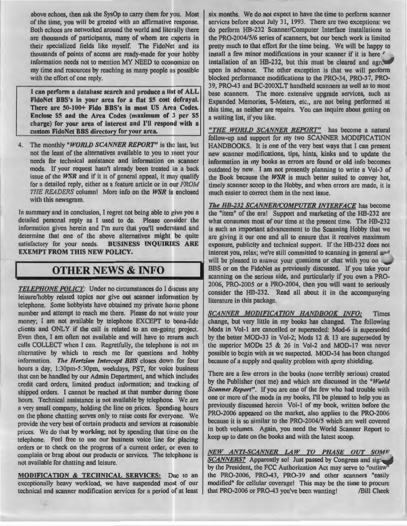above echoes, then ask the SysOp to carry them for you. Most of the time, you will be greeted with an affirmative response. Both echoes arc networked around the world and literally there arc thousands of participants, many of whom are experts in their specialized fields like myself. The FidoNet and its thousands of points of access are ready-made for your hobby information needs not to mention MY NEED to economize on my time and resources by reaching as many people as possible with the effort of one reply.

I can perform a database search and produce a list of ALL FidoNct BBS's in your area for a flat \$5 cost defrayal. There arc 50-100+ Fido BBS's in most US Arca Codes. Enclose \$5 and the Area Codes (maximum of 3 per \$5 charge) for your area of interest and I'll respond with a custom FidoNct BBS directory for your area.

4. The monthly *"WORLD SCANNER REPORT"* is the last, but not the least of the alternatives available to you to meet your needs for technical assistance and information on scanner mods. If your request hasn't already been treated in a back issue of the *WSR* and if it is of general appeal, it may qualify for a detailed reply, either as a feature article or in our *FROM* **TIIE READERS** column! More info on the *WSR* is enclosed with this newsgram.

In summary and in conclusion, I regret not being able to give you a dctailed personal reply as I used to do. Please consider the information given herein and I'm sure that you'll understand and determine that one of the above alternatives might be quite satisfactory for your needs. BUSINESS INQUIRIES ARE EXEMPT FROM THIS NEW POLICY.

## **OTHER** NEWS & INFO

*TELEPHONE POLICY:* Under no circumstances do I discuss any leisure/hobby related topics nor give out scanner information by telephone. Some hobbyists have obtained my private home phone number and attempt to reach me there. Please do not waste your money; I am not available by telephone EXCEPT to bona-fide clients and ONLY if the call is related to an on-going project. Even then, I am often not available and will have to return such calls COLLECT when I can. Regretfully, the telephone is not an alternative by which to reach me for questions and hobby information. The Hertzian Intercept BBS closes down for four hours a day, 1:30pm-5:30pm, weekdays, PST, for voice business that can be handled by our Admin Department, and which includes credit card orders, limited product information; and tracking of shipped orders. I cannot be reached at that number during those hours. Technical assistance is not available by telephone. We are a very small company, holding the line on prices. Spending hours on the phone chatting serves only to raise costs for everyone. We provide the very best of certain products and services at reasonable prices. We do that by working; not by spending that time on the telephone. Feel free to use our business voice line for placing orders or to check on the progress of a current order, or even to complain or brag about our products or services. The telephone is not available for chatting and leisure.

MODIFICATION & TECHNICAL SERVICES: Due to an exceptionally heavy workload, we have suspended most of our technical and scanner modification services for a period of at least six months. We do not expect to have the time to perform scanner services before about July 31, 1993. There are two exceptions: we do perform HB-232 Scanner/Computer Interface installations to the PR0-2004/5/6 series of scanners, but our bench work is limited pretty much to that effort for the time being. We will be happy to install a few minor modifications in your scanner if it is here *r*  installation of an HB-232, but this must be cleared and agreed upon in advance. The other exception is that we will perform blocked performance modifications to the PR0-34, PR0-37, PR0- 39, PR0-43 and BC-200XLT handhcld scanners as well as to most base scanners. The more extensive upgrade services, such as Expanded Memories, S-Meters, etc., are not being performed at this time, as neither are repairs. You can inquire about getting on a waiting list, if you like.

*"THE WORLD SCANNER REPORT"* has become a natural follow-up and support for my two SCANNER MODIFICATION HANDBOOKS. It is one of the very best ways that I can present new scanner modifications, tips, hints, kinks and lo update the information in my books as errors are found or old info becomes outdated by new. I am not presently planning to write a Vol-3 of the Book because the *WSR* is much better suited to convey hot, timely scanner scoop to the Hobby, and when errors arc made, it is much easier to correct them in the next issue.

*The HB-232 SCANNER/COMPUTER INTERFACE* has become the "item" of the era! Support and marketing of the HB-232 arc what consumes most of our time at the present time. The HB-232 is such an important advancement to the Scanning Hobby that we arc giving it our one and all to ensure that it receives maximum exposure, publicity and technical support. If the HB-232 does not interest you, relax; we're still committed to scanning in general and will be pleased to answer your questions or chat with you on BBS or on the FidoNet as previously discussed. If you take your scanning on the serious side, and particularly if you own a PR0- 2006, PR0-2005 or a PR0-2004, then you will want to seriously consider the HB-232. Read all about it in the accompanying literature in this package.

*SCANNER MODIFICATION HANDBOOK INFO:* Times change, but very little in my books has changed. The following Mods in Vol-1 are cancelled or superseded: Mod-6 is superseded by the better MOD-33 in Vol-2; Mods 12 & 13 are superseded by the superior MODs 25 & 26 in Vol-2 and MOD-17 was never possible to begin with as we suspected. MOD-34 has been changed because of a supply and quality problem with spray shielding.

There are a few errors in the books (none terribly serious) created by the Publisher (not me) and which are discussed in the "World *Scanner Report".* If you are one of the few who had trouble with one or more of the mods in my books, I'll be pleased to help you as previously discussed herein Vol-1 of my book, written before the PR0-2006 appeared on the market, also applies to the PR0-2006 because it is so similar to the PR0-2004/5 which are well covered in both volumes. Again, you need the World Scanner Report to keep up to date on the books and with the latest scoop.

*NEW ANTI-SCANNER LAW TO PHASE OUT SOM" SCANNERS?* Apparently so! Just passed by Congress and sig: by the President, the FCC Authorization Act may serve to "outlaw ' the PR0-2006, PR0-43, PR0-39 and other scanners "easily modified" for cellular coverage! This may be the time to procure that PRO-2006 or PRO-43 you've been wanting! /Bill Cheek